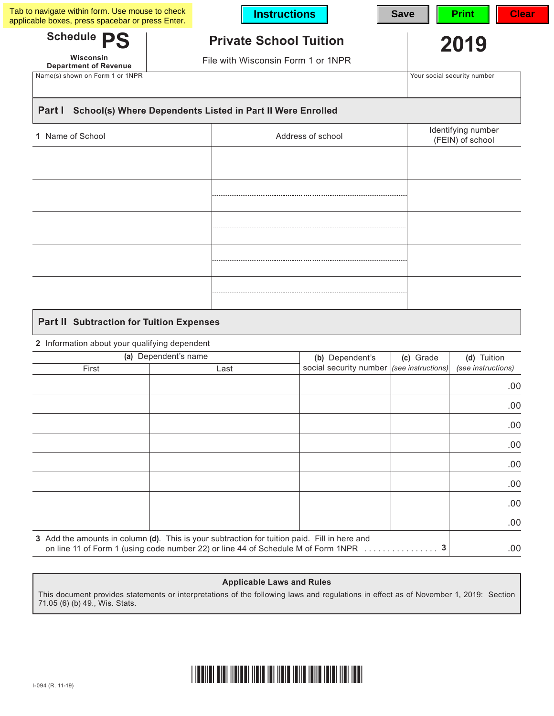| applicable boxes, press spacebar or press Enter. |                                                            | <b>Instructions</b>                                          |                             | <b>Save</b>                            | <b>Clear</b><br><b>Print</b>      |  |
|--------------------------------------------------|------------------------------------------------------------|--------------------------------------------------------------|-----------------------------|----------------------------------------|-----------------------------------|--|
| Schedule PS                                      | <b>Private School Tuition</b>                              |                                                              |                             |                                        | 2019                              |  |
| Wisconsin<br><b>Department of Revenue</b>        | File with Wisconsin Form 1 or 1NPR                         |                                                              |                             |                                        |                                   |  |
| Name(s) shown on Form 1 or 1NPR                  |                                                            |                                                              | Your social security number |                                        |                                   |  |
| Part I                                           | School(s) Where Dependents Listed in Part II Were Enrolled |                                                              |                             |                                        |                                   |  |
| Name of School<br>1.                             |                                                            | Address of school                                            |                             | Identifying number<br>(FEIN) of school |                                   |  |
|                                                  |                                                            |                                                              |                             |                                        |                                   |  |
|                                                  |                                                            |                                                              |                             |                                        |                                   |  |
|                                                  |                                                            |                                                              |                             |                                        |                                   |  |
|                                                  |                                                            |                                                              |                             |                                        |                                   |  |
|                                                  |                                                            |                                                              |                             |                                        |                                   |  |
|                                                  |                                                            |                                                              |                             |                                        |                                   |  |
|                                                  |                                                            |                                                              |                             |                                        |                                   |  |
|                                                  |                                                            |                                                              |                             |                                        |                                   |  |
| <b>Part II Subtraction for Tuition Expenses</b>  |                                                            |                                                              |                             |                                        |                                   |  |
| 2 Information about your qualifying dependent    |                                                            |                                                              |                             |                                        |                                   |  |
|                                                  | (a) Dependent's name                                       | (b) Dependent's<br>social security number (see instructions) |                             | (c) Grade                              | (d) Tuition<br>(see instructions) |  |
| First                                            | Last                                                       |                                                              |                             |                                        |                                   |  |

|     | $\overline{\phantom{a}}$ | ∟น∪เ                                                                                                                                                                              | . |
|-----|--------------------------|-----------------------------------------------------------------------------------------------------------------------------------------------------------------------------------|---|
| .00 |                          |                                                                                                                                                                                   |   |
| .00 |                          |                                                                                                                                                                                   |   |
| .00 |                          |                                                                                                                                                                                   |   |
| .00 |                          |                                                                                                                                                                                   |   |
| .00 |                          |                                                                                                                                                                                   |   |
| .00 |                          |                                                                                                                                                                                   |   |
| .00 |                          |                                                                                                                                                                                   |   |
| .00 |                          |                                                                                                                                                                                   |   |
| .00 |                          | 3 Add the amounts in column (d). This is your subtraction for tuition paid. Fill in here and<br>on line 11 of Form 1 (using code number 22) or line 44 of Schedule M of Form 1NPR |   |

#### **Applicable Laws and Rules**

This document provides statements or interpretations of the following laws and regulations in effect as of November 1, 2019: Section 71.05 (6) (b) 49., Wis. Stats.

#